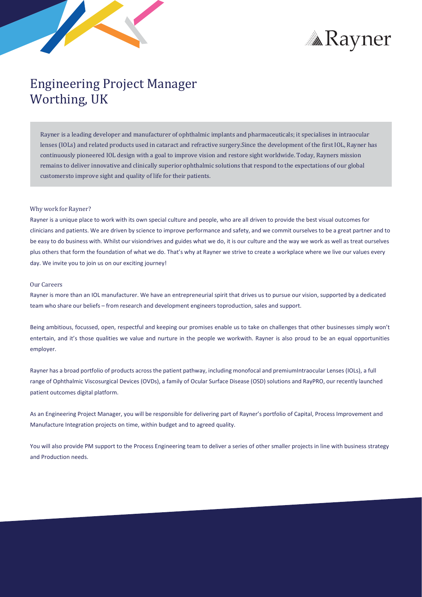



# Engineering Project Manager Worthing, UK

Rayner is a leading developer and manufacturer of ophthalmic implants and pharmaceuticals; it specialises in intraocular lenses (IOLs) and related products used in cataract and refractive surgery.Since the development of the first IOL, Rayner has continuously pioneered IOL design with a goal to improve vision and restore sight worldwide. Today, Rayners mission remains to deliver innovative and clinically superior ophthalmic solutions that respond to the expectations of our global customersto improve sight and quality of life for their patients.

#### Why work for Rayner?

Rayner is a unique place to work with its own special culture and people, who are all driven to provide the best visual outcomes for clinicians and patients. We are driven by science to improve performance and safety, and we commit ourselves to be a great partner and to be easy to do business with. Whilst our visiondrives and guides what we do, it is our culture and the way we work as well as treat ourselves plus others that form the foundation of what we do. That's why at Rayner we strive to create a workplace where we live our values every day. We invite you to join us on our exciting journey!

### Our Careers

Rayner is more than an IOL manufacturer. We have an entrepreneurial spirit that drives us to pursue our vision, supported by a dedicated team who share our beliefs – from research and development engineers toproduction, sales and support.

Being ambitious, focussed, open, respectful and keeping our promises enable us to take on challenges that other businesses simply won't entertain, and it's those qualities we value and nurture in the people we workwith. Rayner is also proud to be an equal opportunities employer.

Rayner has a broad portfolio of products acrossthe patient pathway, including monofocal and premiumIntraocular Lenses (IOLs), a full range of Ophthalmic Viscosurgical Devices (OVDs), a family of Ocular Surface Disease (OSD) solutions and RayPRO, our recently launched patient outcomes digital platform.

As an Engineering Project Manager, you will be responsible for delivering part of Rayner's portfolio of Capital, Process Improvement and Manufacture Integration projects on time, within budget and to agreed quality.

You will also provide PM support to the Process Engineering team to deliver a series of other smaller projects in line with business strategy and Production needs.